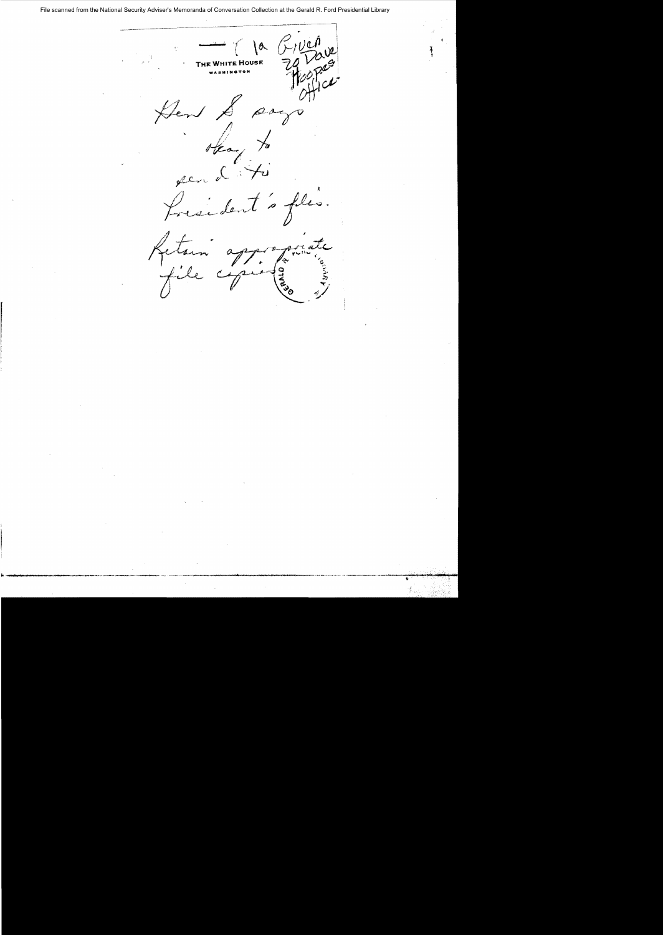File scanned from the National Security Adviser's Memoranda of Conversation Collection at the Gerald R. Ford Presidential Library

 $rac{f}{f}$ **1a** THE WHITE HOUSE Hen &  $\rho_{\rho\gamma}$ Heart to en L is files. fresident Letam appe  $\boldsymbol{\phi}$ **QALD**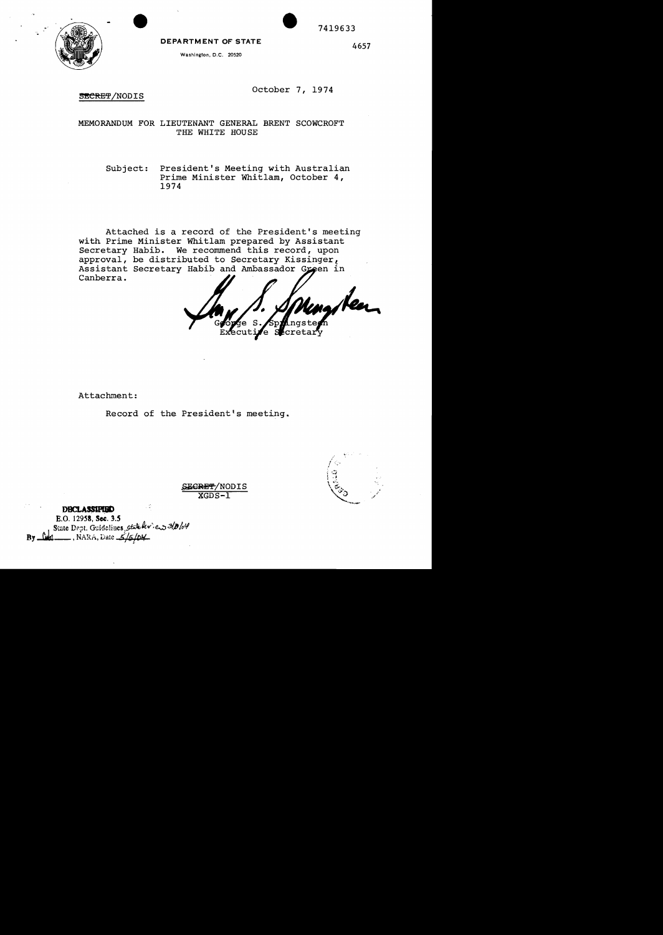

**DEPARTMENT OF STATE** 

Washington, D.C. 20520

4657

7419633

SECRET/NODIS

October 7, 1974

MEMORANDUM FOR LIEUTENANT GENERAL BRENT SCOWCROFT THE WHITE HOUSE

Subject: President's Meeting with Australian Prime Minister Whitlam, October 4, 1974

Attached is a record of the President's meeting with Prime Minister Whitlam prepared by Assistant Secretary Habib. We recommend this record, upon approval, be distributed to Secretary Kissinger, Assistant Secretary Habib and Ambassador Green in Canberra.

decuti Lcreta S łе.

Attachment:

Record of the President's meeting.

EGRET/NODIS  $XGDS-I$ 

**DBCLASSIFIED** E.O. 12958, Sec. 3.5 State Dept. Guidolines, state her. es 3/0/04 ــ , NARA, Date ــ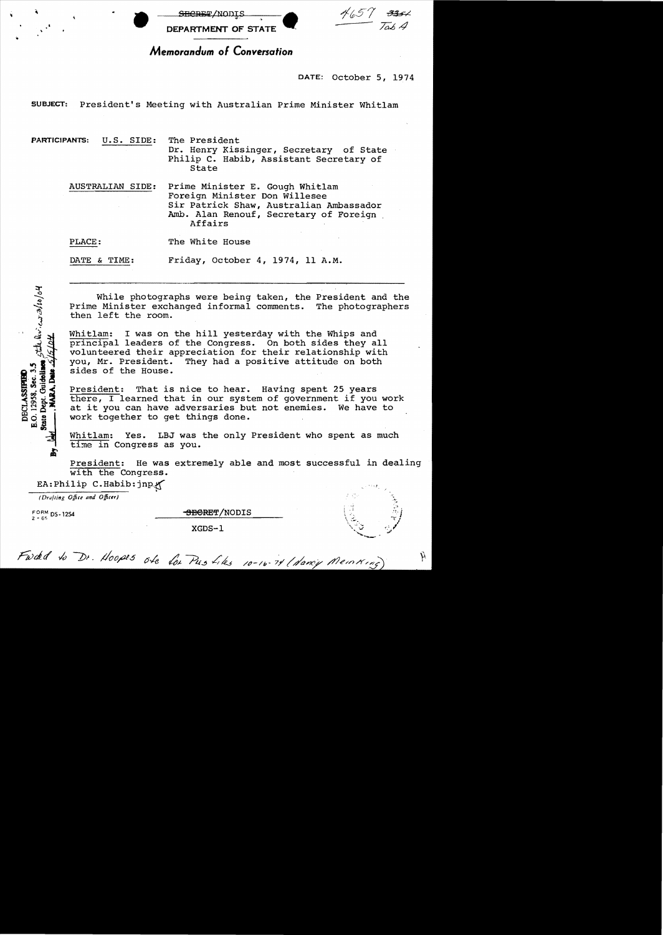

DATE: October 5, 1974

SUBJECT: President's Meeting with Australian Prime Minister Whitlam

PARTICIPANTS: U.S. SIDE: The President Dr. Henry Kissinger, Secretary of State Philip C. Habib, Assistant Secretary of State

AUSTRALIAN SIDE: Prime Minister E. Gough Whitlam Foreign Minister Don Willesee Sir Patrick Shaw, Australian Ambassador Amb. Alan Renouf, Secretary of Foreign Affairs

PLACE: The White House

DATE & TIME: Friday, October 4, 1974, 11 A.M.

While photographs were being taken, the President and the Prime Minister exchanged informal comments. The photographers then left the room.

Whitlam: I was on the hill yesterday with the Whips and principal leaders of the Congress. On both sides they all volunteered their appreciation for their relationship with<br>you, Mr. President. They had a positive attitude on both They had a positive attitude on both sides of the House.

President: That is nice to hear. Having spent 25 years there, I learned that in our system of government if you work at it you can have adversaries but not enemies. We have to work together to get things done.

Whitlam: Yes. LBJ was the only President who spent as much time in Congress as you.

President: He was extremely able and most successful in dealing with the Congress.  $E$ A:Philip C.Habib:jnp. $\leftarrow$ 

*(Drafting Office and Officer)* 

E

thelevicastro/04

E.O. 12958, Sec. 3.5<br>State Dept. Guidelines, **DECLASSIFIED** 

 $F_{2-65}^{\text{ORM}}$  ps-1254 BBGRET/NODIS

XGDS-l

À

Fwdd to Dr. Hoopes ole for Pres Likes 10-16-74 (dancy Meinking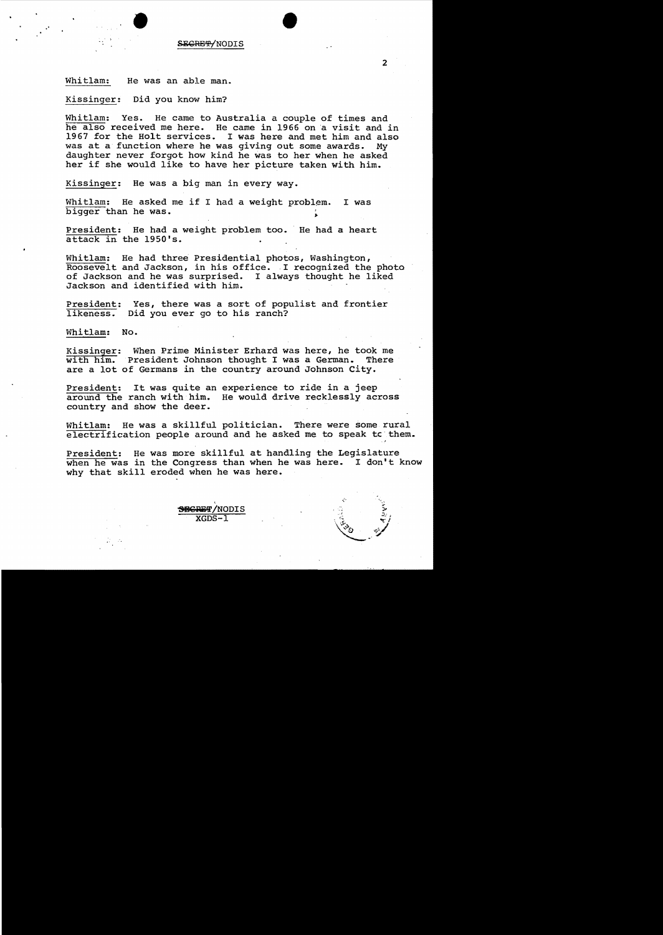

Whitlam: He was an able man.

Kissinger: Did you know him?

Whitlam: Yes. He came to Australia a couple of times and he also received me here. He came in 1966 on a visit and in 1967 for the Holt services. I was here and met him and also<br>was at a function where he was giving out some awards. My was at a function where he was giving out some awards. daughter never forgot how kind he was to her when he asked her if she would like to have her picture taken with him.

Kissinger: He was a big man in every way.

Whitlam: He asked me if I had a weight problem. I was bigger than he was.

President: He had a weight problem too. He had a heart attack in the 1950's.

Whitlam: He had three Presidential photos, Washington, Roosevelt and Jackson, in his office. I recognized the photo of Jackson and he was surprised. I always thought he liked Jackson and identified with him.

President: Yes, there was a sort of populist and frontier<br>likeness. Did you ever go to his ranch? Did you ever go to his ranch?

Whitlam: No.

Kissinger: When Prime Minister Erhard was here, he took me<br>with him. President Johnson thought I was a German. There with  $h_1$   $\overline{m}$ . President Johnson thought I was a German. are a lot of Germans in the country around Johnson City.

President: It was quite an experience to ride in a jeep around the ranch with him. He would drive recklessly across country and show the deer.

Whitlam: He was a skillful politician. There were some rural  $electrification$  people around and he asked me to speak tc them.

President: He was more skillful at handling the Legislature when he was in the Congress than when he was here. I don't know why that skill eroded when he was here.

> , SECRET/NODIS **XGDS**

 $\overline{2}$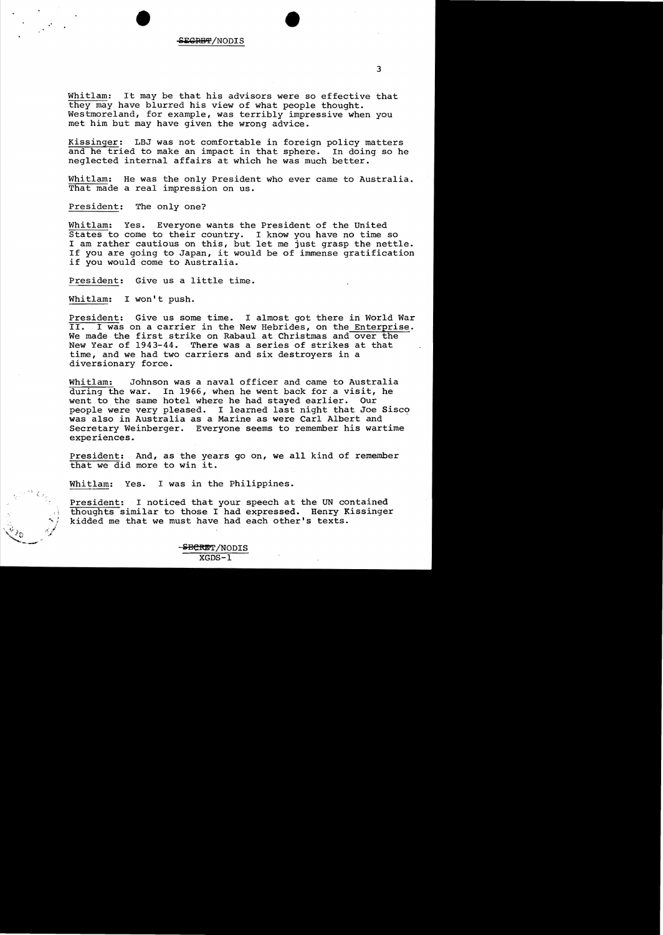# " • •

Whitlam: It may be that his advisors were so effective that they may have blurred his view of what people thought. Westmoreland, for example, was terribly impressive when you met him but may have given the wrong advice.

Kissinger: LBJ was not comfortable in foreign policy matters and he tried to make an impact in that sphere. In doing so he neglected internal affairs at which he was much better.

Whitlam: He was the only President who ever came to Australia. That made a real impression on us.

President: The only one?

Whitlam: Yes. Everyone wants the President of the united States to come to their country. I know you have no time so I am rather cautious on this, but let me just grasp the nettle. If you are going to Japan, it would be of immense gratification if you would come to Australia.

President: Give us a little time.

Whitlam: I won't push.

President: Give us some time. I almost got there in World War II. I was on a carrier in the New Hebrides, on the Enterprise. We made the first strike on Rabaul at Christmas and over the New Year of 1943-44. There was a series of strikes at that time, and we had two carriers and six destroyers in a diversionary force.

Whitlam: Johnson was a naval officer and came to Australia during the war. In 1966, when he went back for a visit, he went to the same hotel where he had stayed earlier. Our people were very pleased. I learned last night that Joe Sisco was also in Australia as a Marine as were Carl Albert and Secretary Weinberger. Everyone seems to remember his wartime experiences.

President: And, as the years go on, we all kind of remember that we did more to win it.

Whitlam: Yes. I was in the Philippines.

President: I noticed that your speech at the UN contained thoughts similar to those I had expressed. Henry Kissinger kidded me that we must have had each other's texts.

3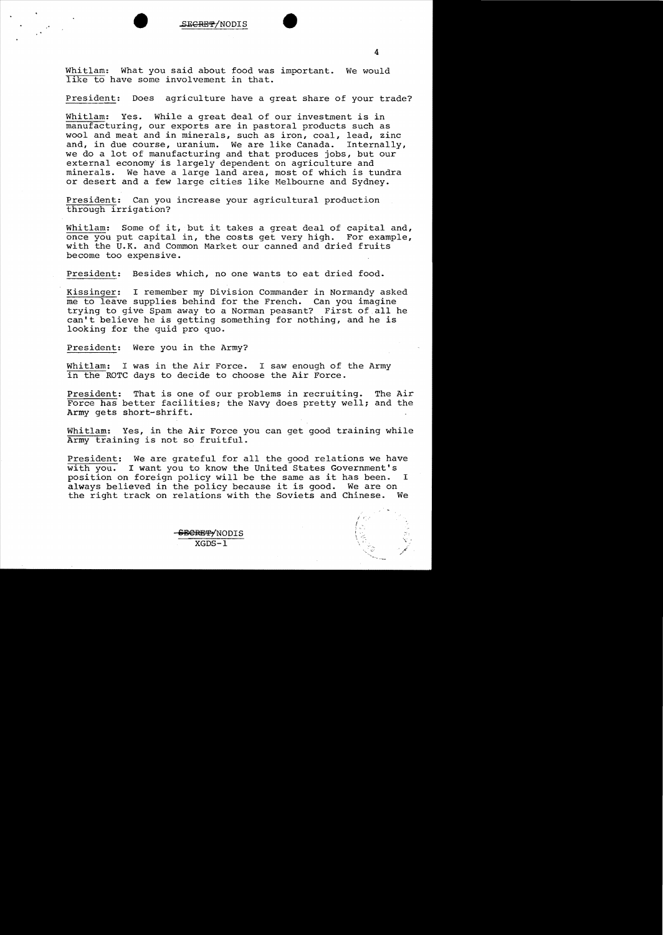Whitlam: What you said about food was important. We would like to have some involvement in that.

President: Does agriculture have a great share of your trade?

Whitlam: Yes. While a great deal of our investment is in manufacturing, our exports are in pastoral products such as wool and meat and in minerals, such as iron, coal, lead, zinc and, in due course, uranium. We are like Canada. Internally, we do a lot of manufacturing and that produces jobs, but our external economy is largely dependent on agriculture and minerals. We have a large land area, most of which is tundra or desert and a few large cities like Melbourne and Sydney.

President: Can you increase your agricultural production through irrigation?

Whitlam: Some of it, but it takes a great deal of capital and, once you put capital in, the costs get very high. For example, with the U.K. and Common Market our canned and dried fruits become too expensive.

President: Besides which, no one wants to eat dried food.

Kissinger: I remember my Division Commander in Normandy asked me to leave supplies behind for the French. Can you imagine trying to give Spam away to a Norman peasant? First of all he can't believe he is getting something for nothing, and he is looking for the quid pro quo.

President: Were you in the Army?

Whitlam: I was in the Air Force. I saw enough of the Army in the ROTC days to decide to choose the Air Force.

President: That is one of our problems in recruiting. The Air Force has better facilities; the Navy does pretty well; and the Army gets short-shrift.

Whitlam: Yes, in the Air Force you can get good training while Army training is not so fruitful.

President: We are grateful for all the good relations we have with you. I want you to know the United States Government's position on foreign policy will be the same as it has been. I always believed in the policy because it is good. We are on the right track on relations with the Soviets and Chinese. We the right track on relations with the Soviets and Chinese.

 $l<\epsilon'$ f

 $\frac{\texttt{SERBTP/NODIS}}{\text{XGDS}-1}$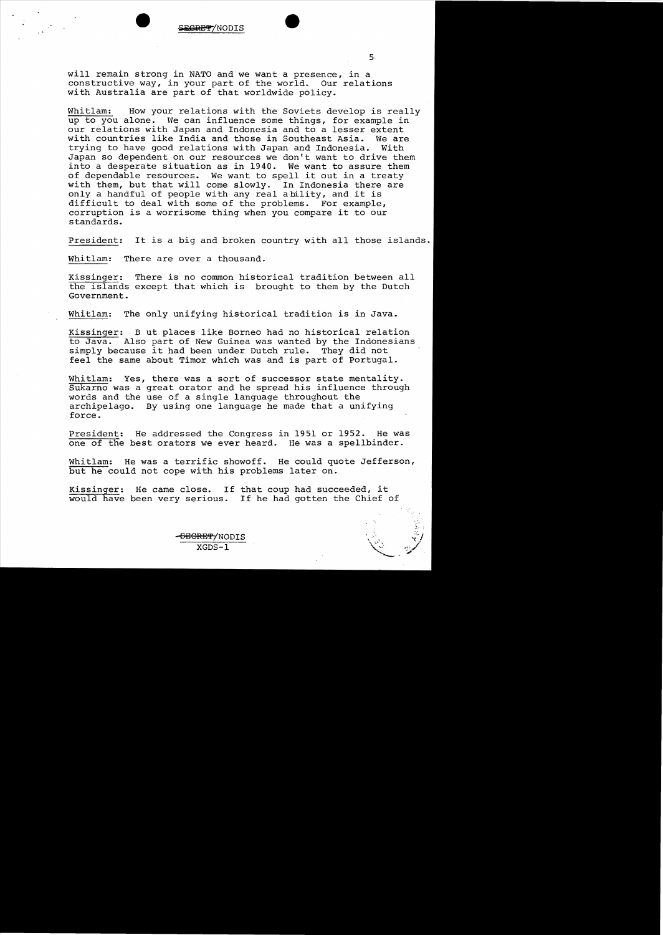

will remain strong in NATO and we want a presence, in a constructive way, in your part of the world. Our relations with Australia are part of that worldwide policy.

Whitlam: How your relations with the Soviets develop is really up to you alone. We can influence some things, for example in our relations with Japan and Indonesia and to a lesser extent with countries like India and those in Southeast Asia. We are<br>trying to have good relations with Japan and Indonesia. With trying to have good relations with Japan and Indonesia. Japan so dependent on our resources we don't want to drive them into a desperate situation as in 1940. We want to assure them of dependable resources. We want to spell it out in a treaty with them, but that will come slowly. In Indonesia there are only a handful of people with any real ability, and it is difficult to deal with some of the problems. For example, corruption is a worrisome thing when you compare it to our standards.

President: It is a big and broken country with all those islands.

Whitlam: There are over a thousand.

Kissinger: There is no common historical tradition between all the islands except that which is brought to them by the Dutch Government.

Whitlam: The only unifying historical tradition is in Java.

Kissinger: B ut places like Borneo had no historical relation to Java. Also part of New Guinea was wanted by the Indonesians simply because it had been under Dutch rule. They did not feel the same about Timor which was and is part of Portugal.

Whitlam: Yes, there was a sort of successor state mentality. Sukarno was a great orator and he spread his influence through words and the use of a single language throughout the archipelago. By using one language he made that a unifying force.

President: He addressed the Congress in 1951 or 1952. He was one of the best orators we ever heard. He was a spellbinder.

Whitlam: He was a terrific showoff. He could quote Jefferson, but he could not cope with his problems later on.

Kissinger: He came close. If that coup had succeeded, it would have been very serious. If he had gotten the Chief of

5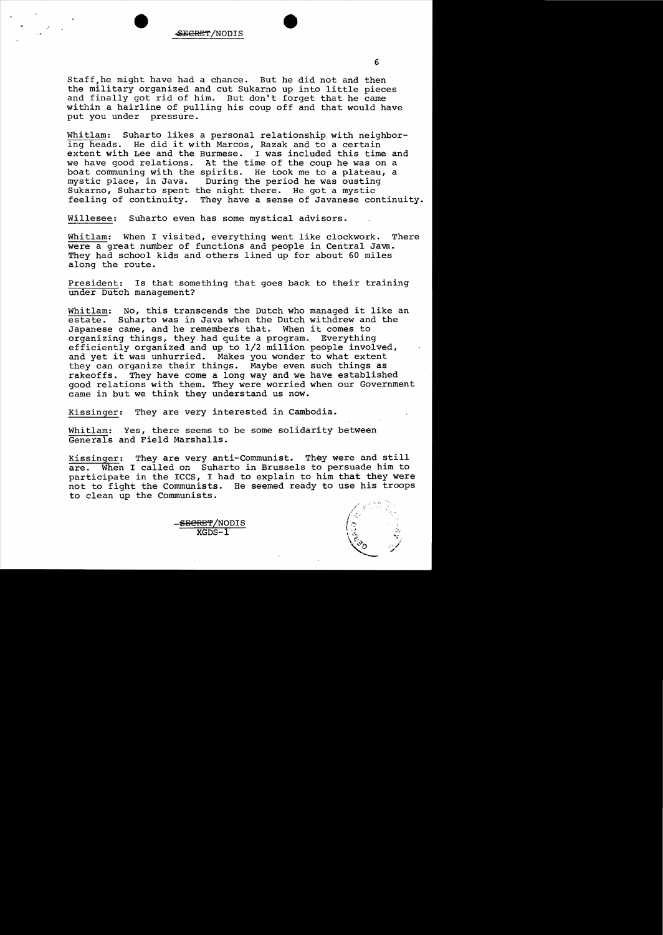### eEGRH/NODIS

Staff he might have had a chance. But he did not and then the military organized and cut Sukarno up into little pieces and finally got rid of him. But don't forget that he came within a hairline of pulling his coup off and that would have put you under pressure.

Whitlam: Suharto likes a personal relationship with neighboring heads. He did it with Marcos, Razak and to a certain extent with Lee and the Burmese. I was included this time and we have good relations. At the time of the coup he was on a boat communing with the spirits. He took me to a plateau, a mystic place, in Java. During the period he was ousting Sukarno, Suharto spent the night there. He got a mystic feeling of continuity. They have a sense of Javanese continuity.

Willesee: Suharto even has some mystical advisors.

Whitlam: When I visited, everything went like clockwork. There were a great number of functions and people in Central Java. They had school kids and others lined up for about 60 miles along the route.

President: Is that something that goes back to their training under Dutch management?

Whitlam: No, this transcends the Dutch who managed it like an estate. Suharto was in Java when the Dutch withdrew and the Japanese came, and he remembers that. When it comes to organizing things, they had quite a program. Everything efficiently organized and up to 1/2 million people involved, and yet it was unhurried. Makes you wonder to what extent they can organize their things. Maybe even such things as<br>rakeoffs. They have come a long way and we have establish They have come a long way and we have established good relations with them. They were worried when our Government came in but we think they understand us now.

Kissinger: They are very interested in Cambodia.

Whitlam: Yes, there seems to be some solidarity between Generals and Field Marshalls.

Kissinger: They are very anti-Communist. They were and still are. When I called on Suharto in Brussels to persuade him to participate in the ICCS, I had to explain to him that they were not to fight the Communists. He seemed ready to use his troops to clean up the Communists.

**"r.**, '",II' '/

S<del>ECRET</del>/NODIS  $XGDS-1$ 

6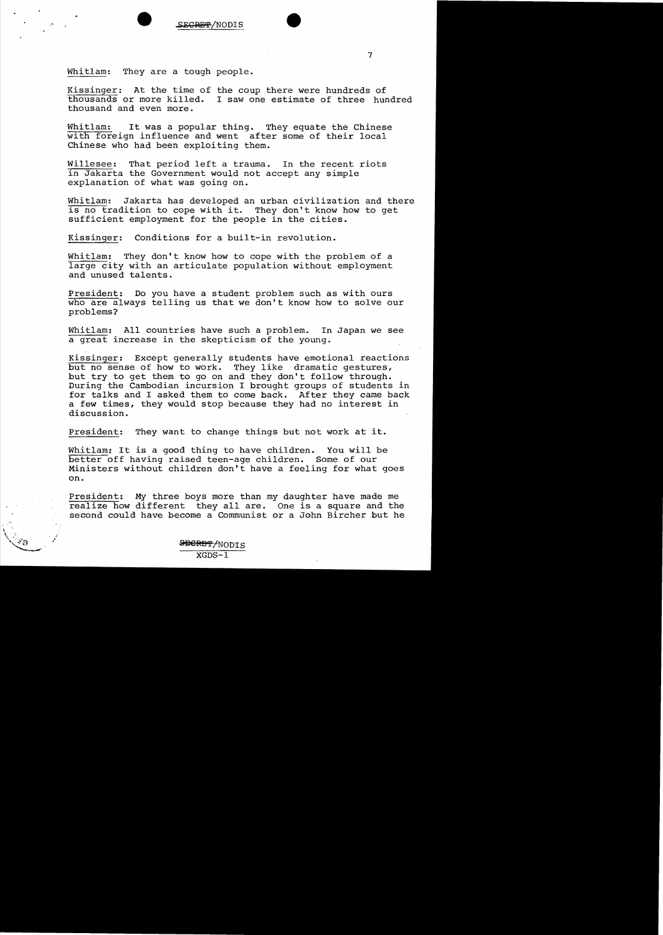



 $\overline{7}$ 

Whitlam: They are a tough people.

Kissinger: At the time of the coup there were hundreds of thousands or more killed. I saw one estimate of three hundred thousand and even more.

Whitlam: It was a popular thing. They equate the Chinese with foreign influence and went after some of their local Chinese who had been exploiting them.

Willesee: That period left a trauma. In the recent riots in Jakarta the Government would not accept any simple explanation of what was going on.

Whitlam: Jakarta has developed an urban civilization and there is no tradition to cope with it. They don't know how to get sufficient employment for the people in the cities.

Kissinger: Conditions for a built-in revolution.

Whitlam: They don't know how to cope with the problem of a large city with an articulate population without employment and unused talents.

President: Do you have a student problem such as with ours who are always telling us that we don't know how to solve our problems?

Whitlam: All countries have such a problem. In Japan we see a great increase in the skepticism of the young.

Kissinger: Except generally students have emotional reactions but no sense of how to work. They like dramatic gestures, but try to get them to go on and they don't follow through. During the Cambodian incursion I brought groups of students in for talks and I asked them to come back. After they came back a few times, they would stop because they had no interest in discussion.

President: They want to change things but not work at it.

Whitlam: It is a good thing to have children. You will be better off having raised teen-age children. Some of our Ministers without children don't have a feeling for what goes on.

President: My three boys more than my daughter have made me realize how different they all are. One is a square and the second could have become a Communist or a John Bircher but he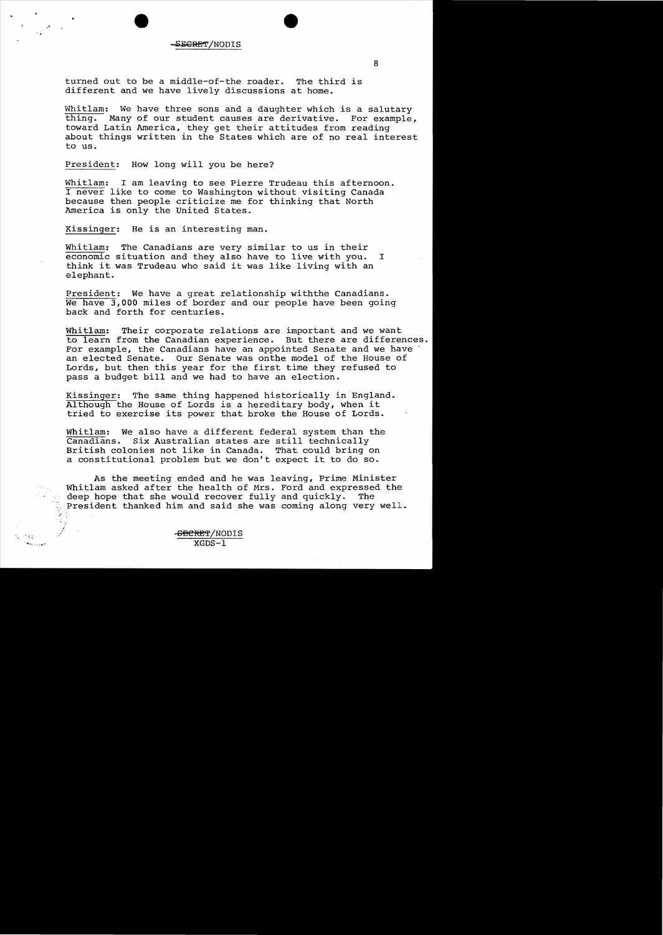### SE<del>GRE</del>T/NODIS

turned out to be a middle-of-the roader. The third is different and we have lively discussions at home.

Whitlam: We have three sons and a daughter which is a salutary thing. Many of our student causes are derivative. For example, toward Latin America, they get their attitudes from reading about things written in the States which are of no real interest to us.

President: How long will you be here?

Whitlam: I am leaving to see Pierre Trudeau this afternoon. never like to come to Washington without visiting Canada because then people criticize me for thinking that North America is only the United States.

Kissinger: He is an interesting man.

Whitlam: The Canadians are very similar to us in their economic situation and they also have to live with you. <sup>I</sup> think it was Trudeau who said it was like living with an elephant.

President: We have a great relationship withthe Canadians. We have **3,000** miles of border and our people have been going back and forth for centuries.

Whitlam: Their corporate relations are important and we want to learn from the Canadian experience. But there are differences. For example, the Canadians have an appointed Senate and we have an elected Senate. Our Senate was onthe model of the House of Lords, but then this year for the first time they refused to pass a budget bill and we had to have an election.

Kissinger: The same thing happened historically in England. Although the House of Lords is a hereditary body, when it tried to exercise its power that broke the House of Lords.

Whitlam: We also have a different federal system than the<br>Canadians. Six Australian states are still technically Six Australian states are still technically British colonies not like in Canada. That could bring on a constitutional problem but we don't expect it to do so.

As the meeting ended and he was leaving, Prime Minister Whitlam asked after the health of Mrs. Ford and expressed the deep hope that she would recover fully and quickly. The deep hope that she would recover fully and quickly. President thanked him and said she was coming along very well.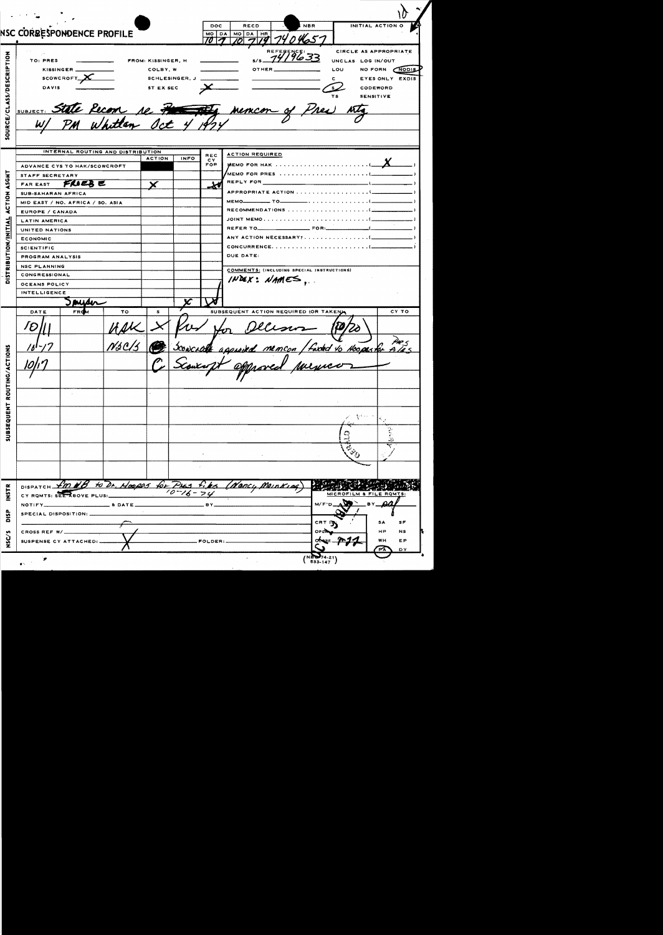| NSC CORRESPONDENCE PROFILE                                                                                           |                        |                                                                                                                                               |                                                                                                                                     |                                                              |                                                         |                                                                                                                                      |            |                                                                                |                                                                                                                                                                                                                                       |  |
|----------------------------------------------------------------------------------------------------------------------|------------------------|-----------------------------------------------------------------------------------------------------------------------------------------------|-------------------------------------------------------------------------------------------------------------------------------------|--------------------------------------------------------------|---------------------------------------------------------|--------------------------------------------------------------------------------------------------------------------------------------|------------|--------------------------------------------------------------------------------|---------------------------------------------------------------------------------------------------------------------------------------------------------------------------------------------------------------------------------------|--|
|                                                                                                                      |                        |                                                                                                                                               |                                                                                                                                     |                                                              | DOC<br><b>MO DA</b>                                     | <b>RECD</b><br>MO DA HR                                                                                                              | <b>NBR</b> |                                                                                | INITIAL ACTION O                                                                                                                                                                                                                      |  |
|                                                                                                                      |                        |                                                                                                                                               |                                                                                                                                     |                                                              |                                                         |                                                                                                                                      |            |                                                                                |                                                                                                                                                                                                                                       |  |
|                                                                                                                      |                        |                                                                                                                                               |                                                                                                                                     |                                                              | CIRCLE AS APPROPRIATE                                   |                                                                                                                                      |            |                                                                                |                                                                                                                                                                                                                                       |  |
| TO: PRES<br>FROM: KISSINGER, H                                                                                       |                        |                                                                                                                                               |                                                                                                                                     |                                                              | UNCLAS LOG IN/OUT                                       |                                                                                                                                      |            |                                                                                |                                                                                                                                                                                                                                       |  |
| KISSINGER<br>COLBY, W<br>$s \in \mathsf{C} \cap \mathsf{C} \cap \mathsf{C} \cap \mathsf{C}$<br><b>SCHLESINGER, J</b> |                        |                                                                                                                                               |                                                                                                                                     |                                                              | NO FORN NODIS                                           |                                                                                                                                      |            |                                                                                |                                                                                                                                                                                                                                       |  |
|                                                                                                                      |                        |                                                                                                                                               |                                                                                                                                     | EYES ONLY EXDIS<br>CODEWORD<br><b>SENSITIVE</b>              |                                                         |                                                                                                                                      |            |                                                                                |                                                                                                                                                                                                                                       |  |
|                                                                                                                      |                        |                                                                                                                                               |                                                                                                                                     |                                                              |                                                         |                                                                                                                                      |            |                                                                                |                                                                                                                                                                                                                                       |  |
|                                                                                                                      |                        |                                                                                                                                               |                                                                                                                                     |                                                              |                                                         |                                                                                                                                      |            |                                                                                |                                                                                                                                                                                                                                       |  |
|                                                                                                                      |                        |                                                                                                                                               |                                                                                                                                     |                                                              |                                                         |                                                                                                                                      |            |                                                                                |                                                                                                                                                                                                                                       |  |
|                                                                                                                      |                        |                                                                                                                                               |                                                                                                                                     |                                                              |                                                         |                                                                                                                                      |            |                                                                                |                                                                                                                                                                                                                                       |  |
|                                                                                                                      |                        |                                                                                                                                               |                                                                                                                                     |                                                              |                                                         |                                                                                                                                      |            |                                                                                |                                                                                                                                                                                                                                       |  |
|                                                                                                                      |                        |                                                                                                                                               |                                                                                                                                     |                                                              |                                                         |                                                                                                                                      |            |                                                                                |                                                                                                                                                                                                                                       |  |
|                                                                                                                      |                        |                                                                                                                                               |                                                                                                                                     |                                                              |                                                         |                                                                                                                                      |            |                                                                                |                                                                                                                                                                                                                                       |  |
|                                                                                                                      |                        |                                                                                                                                               |                                                                                                                                     |                                                              | CY.<br>FOR.                                             |                                                                                                                                      |            |                                                                                |                                                                                                                                                                                                                                       |  |
|                                                                                                                      |                        |                                                                                                                                               |                                                                                                                                     |                                                              |                                                         |                                                                                                                                      |            |                                                                                |                                                                                                                                                                                                                                       |  |
|                                                                                                                      |                        |                                                                                                                                               |                                                                                                                                     |                                                              |                                                         |                                                                                                                                      |            |                                                                                |                                                                                                                                                                                                                                       |  |
|                                                                                                                      |                        |                                                                                                                                               |                                                                                                                                     |                                                              |                                                         |                                                                                                                                      |            |                                                                                |                                                                                                                                                                                                                                       |  |
|                                                                                                                      |                        |                                                                                                                                               |                                                                                                                                     |                                                              |                                                         |                                                                                                                                      |            |                                                                                |                                                                                                                                                                                                                                       |  |
|                                                                                                                      |                        |                                                                                                                                               |                                                                                                                                     |                                                              |                                                         |                                                                                                                                      |            |                                                                                |                                                                                                                                                                                                                                       |  |
|                                                                                                                      |                        |                                                                                                                                               |                                                                                                                                     |                                                              |                                                         |                                                                                                                                      |            |                                                                                |                                                                                                                                                                                                                                       |  |
|                                                                                                                      |                        |                                                                                                                                               |                                                                                                                                     |                                                              |                                                         |                                                                                                                                      |            |                                                                                |                                                                                                                                                                                                                                       |  |
| <b>ECONOMIC</b>                                                                                                      |                        |                                                                                                                                               |                                                                                                                                     |                                                              |                                                         |                                                                                                                                      |            |                                                                                |                                                                                                                                                                                                                                       |  |
| <b>SCIENTIFIC</b>                                                                                                    |                        |                                                                                                                                               |                                                                                                                                     |                                                              |                                                         |                                                                                                                                      |            |                                                                                |                                                                                                                                                                                                                                       |  |
|                                                                                                                      |                        |                                                                                                                                               |                                                                                                                                     |                                                              |                                                         | DUE DATE:                                                                                                                            |            |                                                                                |                                                                                                                                                                                                                                       |  |
| <b>NSC PLANNING</b>                                                                                                  |                        |                                                                                                                                               |                                                                                                                                     |                                                              |                                                         |                                                                                                                                      |            |                                                                                |                                                                                                                                                                                                                                       |  |
| <b>CONGRESSIONAL</b>                                                                                                 |                        |                                                                                                                                               |                                                                                                                                     |                                                              |                                                         |                                                                                                                                      |            |                                                                                |                                                                                                                                                                                                                                       |  |
| OCEANS POLICY                                                                                                        |                        |                                                                                                                                               |                                                                                                                                     |                                                              |                                                         |                                                                                                                                      |            |                                                                                |                                                                                                                                                                                                                                       |  |
| INTELLIGENCE                                                                                                         |                        |                                                                                                                                               |                                                                                                                                     |                                                              |                                                         |                                                                                                                                      |            |                                                                                |                                                                                                                                                                                                                                       |  |
|                                                                                                                      |                        |                                                                                                                                               |                                                                                                                                     |                                                              |                                                         |                                                                                                                                      |            |                                                                                |                                                                                                                                                                                                                                       |  |
|                                                                                                                      |                        |                                                                                                                                               |                                                                                                                                     |                                                              |                                                         |                                                                                                                                      |            |                                                                                | CY TO                                                                                                                                                                                                                                 |  |
|                                                                                                                      |                        |                                                                                                                                               |                                                                                                                                     |                                                              |                                                         |                                                                                                                                      |            |                                                                                |                                                                                                                                                                                                                                       |  |
|                                                                                                                      |                        |                                                                                                                                               |                                                                                                                                     |                                                              |                                                         |                                                                                                                                      |            |                                                                                |                                                                                                                                                                                                                                       |  |
|                                                                                                                      |                        |                                                                                                                                               |                                                                                                                                     |                                                              |                                                         |                                                                                                                                      |            |                                                                                |                                                                                                                                                                                                                                       |  |
|                                                                                                                      |                        |                                                                                                                                               |                                                                                                                                     |                                                              |                                                         |                                                                                                                                      |            |                                                                                |                                                                                                                                                                                                                                       |  |
|                                                                                                                      |                        |                                                                                                                                               |                                                                                                                                     |                                                              |                                                         |                                                                                                                                      |            |                                                                                |                                                                                                                                                                                                                                       |  |
|                                                                                                                      |                        |                                                                                                                                               |                                                                                                                                     |                                                              |                                                         |                                                                                                                                      |            |                                                                                |                                                                                                                                                                                                                                       |  |
|                                                                                                                      |                        |                                                                                                                                               |                                                                                                                                     |                                                              |                                                         |                                                                                                                                      |            |                                                                                |                                                                                                                                                                                                                                       |  |
|                                                                                                                      |                        |                                                                                                                                               |                                                                                                                                     |                                                              |                                                         |                                                                                                                                      |            |                                                                                |                                                                                                                                                                                                                                       |  |
|                                                                                                                      |                        |                                                                                                                                               |                                                                                                                                     |                                                              |                                                         |                                                                                                                                      |            |                                                                                |                                                                                                                                                                                                                                       |  |
|                                                                                                                      |                        |                                                                                                                                               |                                                                                                                                     |                                                              |                                                         |                                                                                                                                      |            |                                                                                |                                                                                                                                                                                                                                       |  |
|                                                                                                                      |                        |                                                                                                                                               |                                                                                                                                     |                                                              |                                                         |                                                                                                                                      |            |                                                                                |                                                                                                                                                                                                                                       |  |
|                                                                                                                      |                        |                                                                                                                                               |                                                                                                                                     |                                                              |                                                         |                                                                                                                                      |            |                                                                                |                                                                                                                                                                                                                                       |  |
|                                                                                                                      |                        |                                                                                                                                               |                                                                                                                                     |                                                              |                                                         |                                                                                                                                      |            |                                                                                |                                                                                                                                                                                                                                       |  |
|                                                                                                                      |                        |                                                                                                                                               |                                                                                                                                     |                                                              |                                                         |                                                                                                                                      |            |                                                                                |                                                                                                                                                                                                                                       |  |
|                                                                                                                      |                        |                                                                                                                                               |                                                                                                                                     |                                                              |                                                         |                                                                                                                                      |            |                                                                                |                                                                                                                                                                                                                                       |  |
|                                                                                                                      |                        |                                                                                                                                               |                                                                                                                                     |                                                              |                                                         |                                                                                                                                      |            |                                                                                |                                                                                                                                                                                                                                       |  |
|                                                                                                                      |                        |                                                                                                                                               |                                                                                                                                     |                                                              |                                                         |                                                                                                                                      |            |                                                                                |                                                                                                                                                                                                                                       |  |
|                                                                                                                      |                        |                                                                                                                                               |                                                                                                                                     |                                                              |                                                         |                                                                                                                                      |            |                                                                                |                                                                                                                                                                                                                                       |  |
|                                                                                                                      |                        |                                                                                                                                               |                                                                                                                                     |                                                              |                                                         |                                                                                                                                      |            |                                                                                | BY_                                                                                                                                                                                                                                   |  |
|                                                                                                                      |                        |                                                                                                                                               |                                                                                                                                     |                                                              |                                                         |                                                                                                                                      |            |                                                                                |                                                                                                                                                                                                                                       |  |
|                                                                                                                      |                        |                                                                                                                                               |                                                                                                                                     |                                                              |                                                         |                                                                                                                                      |            | CRT M<br>SF<br>SA                                                              |                                                                                                                                                                                                                                       |  |
|                                                                                                                      |                        |                                                                                                                                               |                                                                                                                                     |                                                              | _FOLDER:_                                               |                                                                                                                                      |            | HP<br><b>NS</b>                                                                |                                                                                                                                                                                                                                       |  |
| <b>CROSS REF W/</b>                                                                                                  |                        |                                                                                                                                               |                                                                                                                                     |                                                              |                                                         |                                                                                                                                      |            |                                                                                |                                                                                                                                                                                                                                       |  |
|                                                                                                                      |                        |                                                                                                                                               |                                                                                                                                     |                                                              |                                                         |                                                                                                                                      |            |                                                                                | WH<br>EP                                                                                                                                                                                                                              |  |
|                                                                                                                      | FAR EAST<br>DATE<br>'D | <b>DAVIS</b><br>STAFF SECRETARY<br>SUB-SAHARAN AFRICA<br>EUROPE / CANADA<br><b>LATIN AMERICA</b><br>UNITED NATIONS<br>PROGRAM ANALYSIS<br>FRO | ADVANCE CYS TO HAK/SCOWCROFT<br>FRIEB E<br>MID EAST / NO. AFRICA / SO. ASIA<br>TΟ<br><u>NSC/5</u><br>SPECIAL DISPOSITION: _________ | INTERNAL ROUTING AND DISTRIBUTION<br><b>ACTION</b><br>x<br>s | ST EX SEC<br>SUBJECT: State Pecon re Pro<br><b>INFO</b> | <b>REC</b><br>ابز<br>DISPATCH fm NB to Dr. Hoopes for PLAS fike<br>CY ROMTS: SEE ABOVE PLUS: $\sqrt{27/6-74}$<br>$BY$ <sub>---</sub> |            | S/S $79/9633$<br><b>ACTION REQUIRED</b><br>$I$ NDEX: NAMES,<br>(Nancy Meinking | LOU<br>c.<br><u>Mencor of Pres</u><br>MEMO<br>COMMENTS: (INCLUDING SPECIAL INSTRUCTIONS)<br>SUBSEQUENT ACTION REQUIRED (OR TAKEN)<br>sconcrate againsed memeon / facted to Hoopester ATes<br>をたい。<br>MICROFILM & FILE ROMTS:<br>M/F'D |  |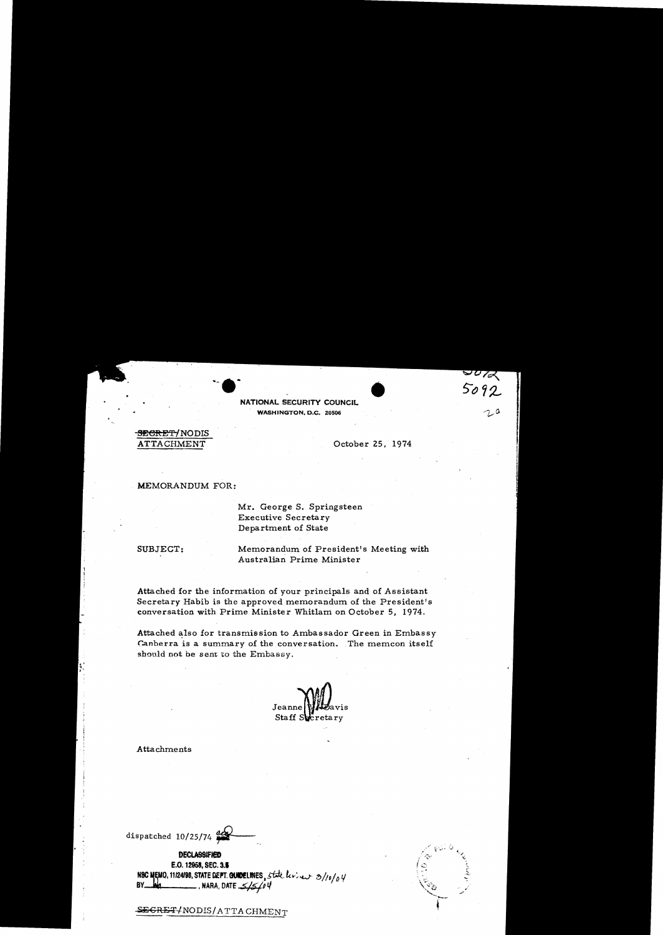NATIONAL SECURITY COUNCIL WASHINGTON, D.C. 20506

# **SECRET/NODIS** ATTACHMENT

October 25, 1974

 $\sigma_{\alpha\beta}$ 5092

### MEMORANDUM FOR:

Mr. George S. Springsteen **Executive Secretary** Department of State

SUBJECT:

Memorandum of President's Meeting with Australian Prime Minister

Attached for the information of your principals and of Assistant Secretary Habib is the approved memorandum of the President's conversation with Prime Minister Whitlam on October 5, 1974.

Attached also for transmission to Ambassador Green in Embassy Canberra is a summary of the conversation. The memcon itself should not be sent to the Embassy.

Jeanne vis Staff Secretary

Attachments

dispatched  $10/25/74$ 

**DECLASSIFIED** E.O. 12958, SEC. 3.5 NSC MEMO, 11/24/98, STATE DEPT. QUIDELINES, state levies 3/10/04 BY\_ **MARA, DATE**  $5/5/04$ 



SEGRET/NODIS/ATTACHMENT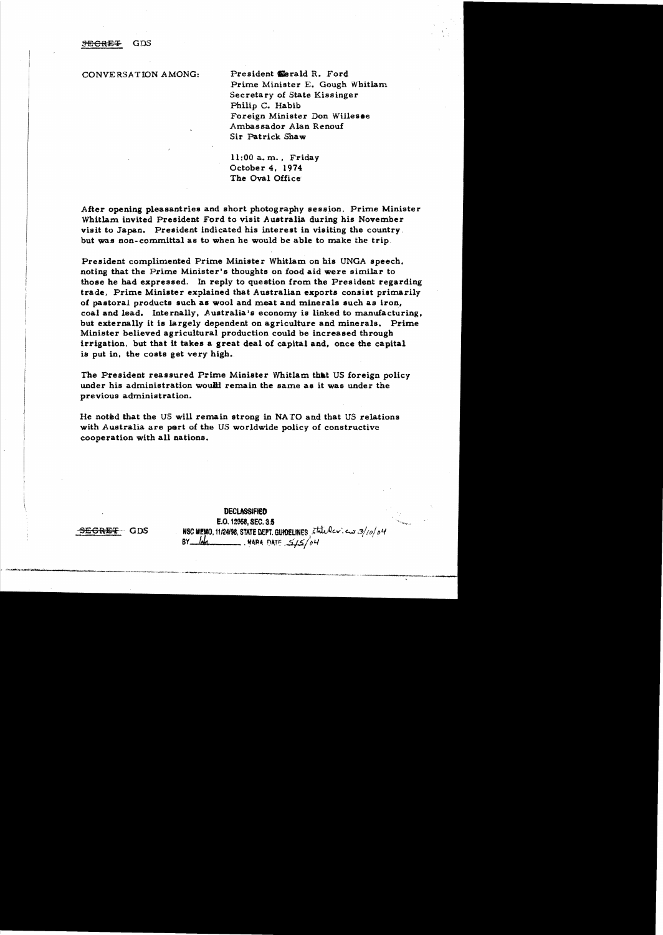### **SEGRET** GDS

CONVERSATION AMONG: President Eerald R. Ford.

Prime Minister E. Gough Whitlam Secretary of State Kissinger Philip C. Habib Foreign Minister Don Willesee Ambassador Alan Renouf Sir Patrick Shaw

 $11:00$  a.m., Friday October 4, 1974 The Oval Office

After opening pleasantries and short photography session. Prime Minister Whitlam invited President Ford to visit Australia during his November viait to Japan. President indicated his interest in visiting the country but was non-committal as to when he would be able to make the trip.

President complimented Prime Minister Whitlam on his UNGA speech. noting that the Prime Minister's thoughts on food aid were similar to those he had expressed. In reply to question from the President regarding trade, Prime Minister explained that Australian exports consist primarily of pastoral products such as wool and meat and minerals such as iron, coal and lead. Internally. Australia's economy is linked to manufacturing. but externally it is largely dependent on agriculture and minerals. Prime Minister believed agricultural production could be increased through irrigation. but that it takes a great deal of capital and. once the capital is put in, the costs get very high.

The President reassured Prime Minister Whitlam that US foreign policy under his administration would remain the same as it was under the previous administration.

He noted that the US will remain strong in NATO and that US relations with Australia are part of the US worldwide policy of constructive cooperation with all nations,

**DECLASSIFIED** E.O. 12958, SEC. 3.5  $-$ **SEGRET** GDS NBC MEMO, 11124198, STATE DEPT. GUIDELINES  $\frac{1}{5}$  tatules:  $\frac{3}{10}$  $BY$   $-14$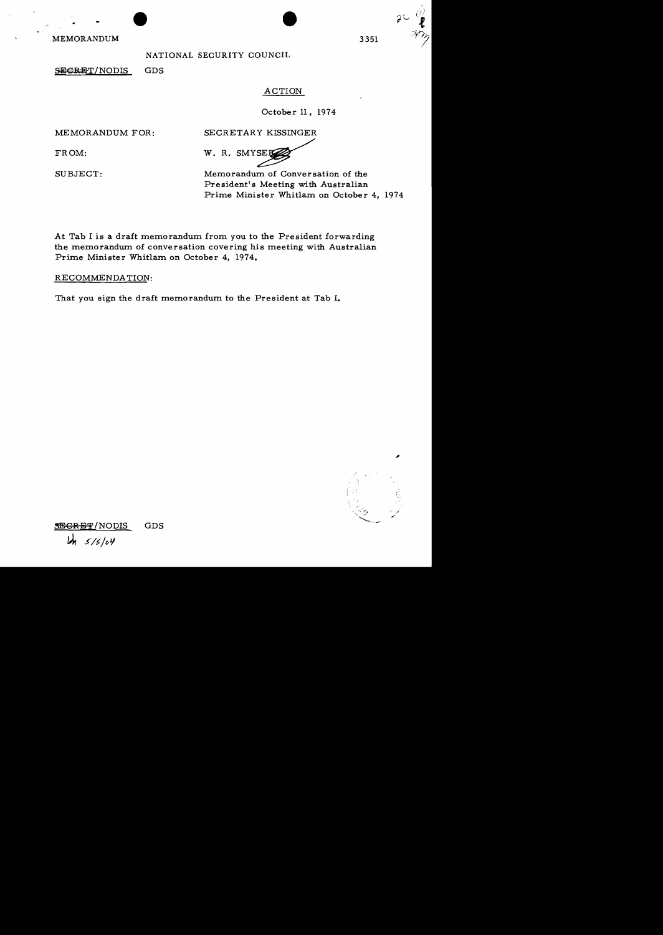MEMORANDUM

## NATIONAL SECURITY COUNCIL

SECRET/NODIS GDS

## ACTION

**•** 

October 11, 1974

MEMORANDUM FOR: SECRETARY KISSINGER

FROM: W.R.SMYSER

SUBJECT: Memorandum of Conversation of the President's Meeting with Australian Prime Minister Whitlam on October 4, 1974

At Tab I is a draft memorandum from *you* to the President forwarding the memorandum of conversation covering his meeting with Australian Prime Minister Whitlam on October 4, 1974.

RECOMMENDATION:

That *you* sign the draft memorandum to the President at Tab I.



**SEGRET/NODIS** GDS 5/5/04

3351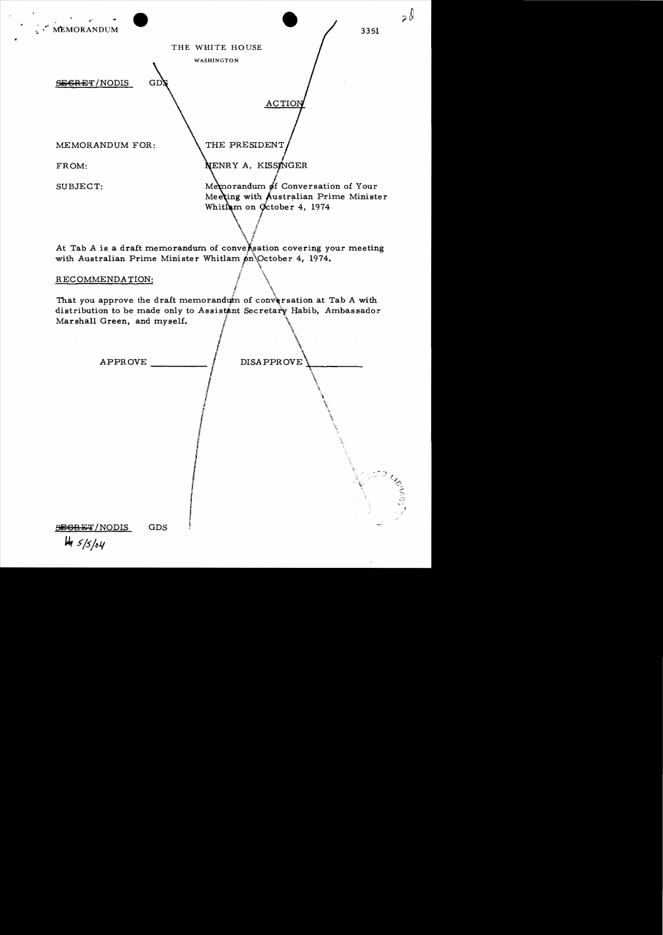